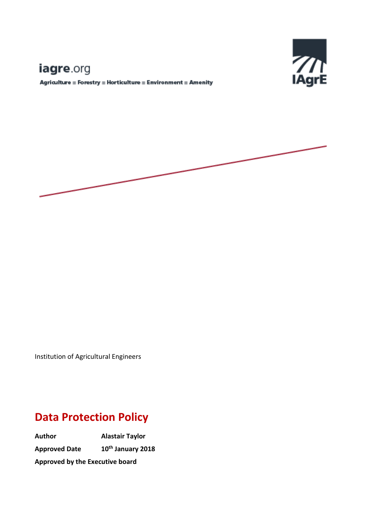# Е

# iagre.org

 ${\bf Agriulture\equiv Forestry\equiv Horticulture\equiv Environment\equiv Amerity}$ 



Institution of Agricultural Engineers

# **Data Protection Policy**

**Author Alastair Taylor Approved Date th January 2018 Approved by the Executive board**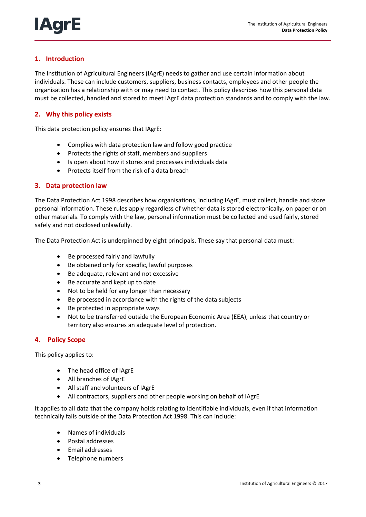

# **1. Introduction**

The Institution of Agricultural Engineers (IAgrE) needs to gather and use certain information about individuals. These can include customers, suppliers, business contacts, employees and other people the organisation has a relationship with or may need to contact. This policy describes how this personal data must be collected, handled and stored to meet IAgrE data protection standards and to comply with the law.

# **2. Why this policy exists**

This data protection policy ensures that IAgrE:

- Complies with data protection law and follow good practice
- Protects the rights of staff, members and suppliers
- Is open about how it stores and processes individuals data
- Protects itself from the risk of a data breach

# **3. Data protection law**

The Data Protection Act 1998 describes how organisations, including IAgrE, must collect, handle and store personal information. These rules apply regardless of whether data is stored electronically, on paper or on other materials. To comply with the law, personal information must be collected and used fairly, stored safely and not disclosed unlawfully.

The Data Protection Act is underpinned by eight principals. These say that personal data must:

- Be processed fairly and lawfully
- Be obtained only for specific, lawful purposes
- Be adequate, relevant and not excessive
- Be accurate and kept up to date
- Not to be held for any longer than necessary
- Be processed in accordance with the rights of the data subjects
- Be protected in appropriate ways
- Not to be transferred outside the European Economic Area (EEA), unless that country or territory also ensures an adequate level of protection.

## **4. Policy Scope**

This policy applies to:

- The head office of IAgrE
- All branches of IAgrE
- All staff and volunteers of IAgrE
- All contractors, suppliers and other people working on behalf of IAgrE

It applies to all data that the company holds relating to identifiable individuals, even if that information technically falls outside of the Data Protection Act 1998. This can include:

- Names of individuals
- Postal addresses
- Email addresses
- Telephone numbers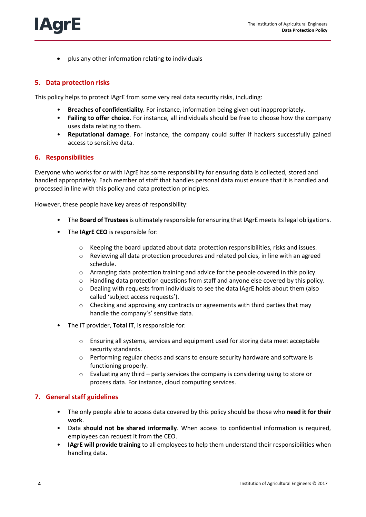plus any other information relating to individuals

#### **5. Data protection risks**

**IAgrE** 

This policy helps to protect IAgrE from some very real data security risks, including:

- **Breaches of confidentiality**. For instance, information being given out inappropriately.
- **Failing to offer choice**. For instance, all individuals should be free to choose how the company uses data relating to them.
- **Reputational damage**. For instance, the company could suffer if hackers successfully gained access to sensitive data.

#### **6. Responsibilities**

Everyone who works for or with IAgrE has some responsibility for ensuring data is collected, stored and handled appropriately. Each member of staff that handles personal data must ensure that it is handled and processed in line with this policy and data protection principles.

However, these people have key areas of responsibility:

- The **Board of Trustees**is ultimately responsible for ensuring that IAgrE meets its legal obligations.
- The **IAgrE CEO** is responsible for:
	- $\circ$  Keeping the board updated about data protection responsibilities, risks and issues.
	- $\circ$  Reviewing all data protection procedures and related policies, in line with an agreed schedule.
	- o Arranging data protection training and advice for the people covered in this policy.
	- o Handling data protection questions from staff and anyone else covered by this policy.
	- o Dealing with requests from individuals to see the data IAgrE holds about them (also called 'subject access requests').
	- o Checking and approving any contracts or agreements with third parties that may handle the company's' sensitive data.
- The IT provider, Total IT, is responsible for:
	- o Ensuring all systems, services and equipment used for storing data meet acceptable security standards.
	- o Performing regular checks and scans to ensure security hardware and software is functioning properly.
	- $\circ$  Evaluating any third party services the company is considering using to store or process data. For instance, cloud computing services.

#### **7. General staff guidelines**

- The only people able to access data covered by this policy should be those who **need it for their work**.
- Data **should not be shared informally**. When access to confidential information is required, employees can request it from the CEO.
- **IAgrE will provide training** to all employees to help them understand their responsibilities when handling data.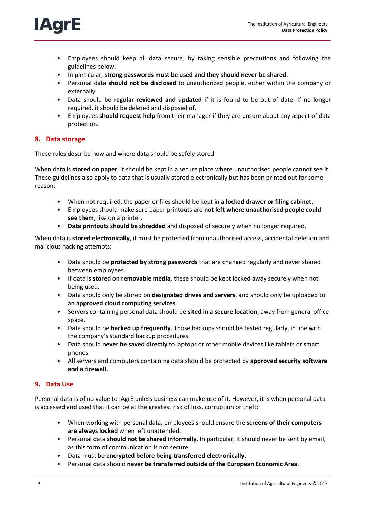

- Employees should keep all data secure, by taking sensible precautions and following the guidelines below.
- In particular, **strong passwords must be used and they should never be shared**.
- Personal data **should not be disclosed** to unauthorized people, either within the company or externally.
- Data should be **regular reviewed and updated** if it is found to be out of date. If no longer required, it should be deleted and disposed of.
- Employees **should request help** from their manager if they are unsure about any aspect of data protection.

# **8. Data storage**

These rules describe how and where data should be safely stored.

When data is **stored on paper**, it should be kept in a secure place where unauthorised people cannot see it. These guidelines also apply to data that is usually stored electronically but has been printed out for some reason:

- When not required, the paper or files should be kept in a **locked drawer or filing cabinet**.
- Employees should make sure paper printouts are **not left where unauthorised people could see them**, like on a printer.
- **Data printouts should be shredded** and disposed of securely when no longer required.

When data is **stored electronically**, it must be protected from unauthorised access, accidental deletion and malicious hacking attempts:

- Data should be **protected by strong passwords** that are changed regularly and never shared between employees.
- If data is **stored on removable media**, these should be kept locked away securely when not being used.
- Data should only be stored on **designated drives and servers**, and should only be uploaded to an **approved cloud computing services**.
- Servers containing personal data should be **sited in a secure location**, away from general office space.
- Data should be **backed up frequently**. Those backups should be tested regularly, in line with the company's standard backup procedures.
- Data should **never be saved directly** to laptops or other mobile devices like tablets or smart phones.
- All servers and computers containing data should be protected by **approved security software and a firewall.**

# **9. Data Use**

Personal data is of no value to IAgrE unless business can make use of it. However, it is when personal data is accessed and used that it can be at the greatest risk of loss, corruption or theft:

- When working with personal data, employees should ensure the **screens of their computers are always locked** when left unattended.
- Personal data **should not be shared informally**. In particular, it should never be sent by email, as this form of communication is not secure.
- Data must be **encrypted before being transferred electronically**.
- Personal data should **never be transferred outside of the European Economic Area**.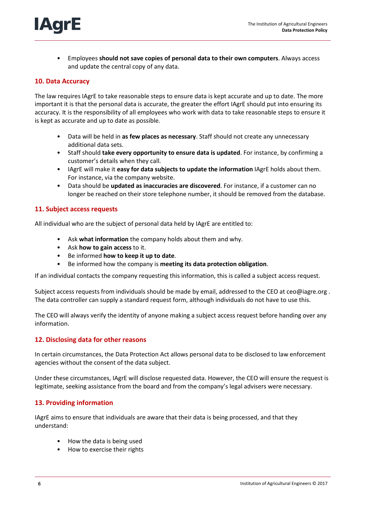

• Employees **should not save copies of personal data to their own computers**. Always access and update the central copy of any data.

#### **10. Data Accuracy**

The law requires IAgrE to take reasonable steps to ensure data is kept accurate and up to date. The more important it is that the personal data is accurate, the greater the effort IAgrE should put into ensuring its accuracy. It is the responsibility of all employees who work with data to take reasonable steps to ensure it is kept as accurate and up to date as possible.

- Data will be held in **as few places as necessary**. Staff should not create any unnecessary additional data sets.
- Staff should **take every opportunity to ensure data is updated**. For instance, by confirming a customer's details when they call.
- IAgrE will make it **easy for data subjects to update the information** IAgrE holds about them. For instance, via the company website.
- Data should be **updated as inaccuracies are discovered**. For instance, if a customer can no longer be reached on their store telephone number, it should be removed from the database.

#### **11. Subject access requests**

All individual who are the subject of personal data held by IAgrE are entitled to:

- Ask **what information** the company holds about them and why.
- Ask **how to gain access** to it.
- Be informed **how to keep it up to date**.
- Be informed how the company is **meeting its data protection obligation**.

If an individual contacts the company requesting this information, this is called a subject access request.

Subject access requests from individuals should be made by email, addressed to the CEO at ceo@iagre.org . The data controller can supply a standard request form, although individuals do not have to use this.

The CEO will always verify the identity of anyone making a subject access request before handing over any information.

#### **12. Disclosing data for other reasons**

In certain circumstances, the Data Protection Act allows personal data to be disclosed to law enforcement agencies without the consent of the data subject.

Under these circumstances, IAgrE will disclose requested data. However, the CEO will ensure the request is legitimate, seeking assistance from the board and from the company's legal advisers were necessary.

## **13. Providing information**

IAgrE aims to ensure that individuals are aware that their data is being processed, and that they understand:

- How the data is being used
- How to exercise their rights